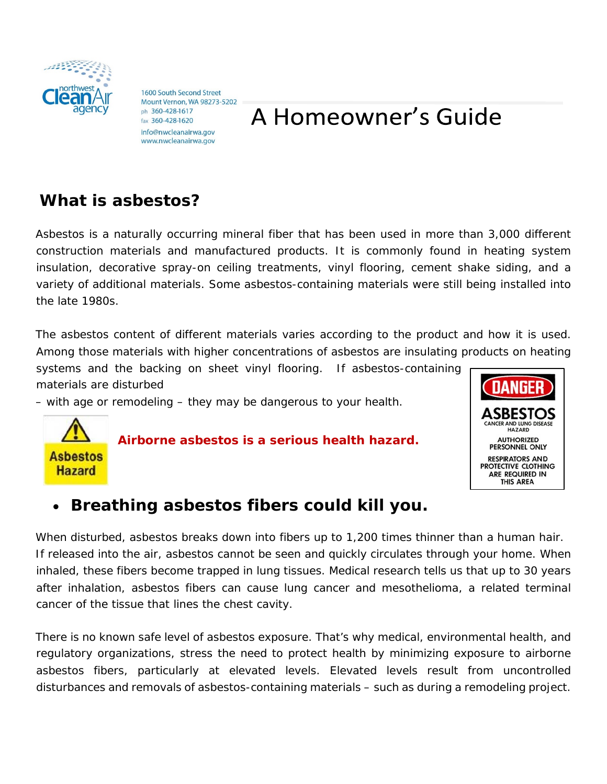

1600 South Second Street Mount Vernon, WA 98273-5202 ph 360-428-1617 fax 360-428-1620 info@nwcleanairwa.gov www.nwcleanairwa.gov

# A Homeowner's Guide

### **What is asbestos?**

Asbestos is a naturally occurring mineral fiber that has been used in more than 3,000 different construction materials and manufactured products. It is commonly found in heating system insulation, decorative spray-on ceiling treatments, vinyl flooring, cement shake siding, and a variety of additional materials. Some asbestos-containing materials were still being installed into the late 1980s.

The asbestos content of different materials varies according to the product and how it is used. Among those materials with higher concentrations of asbestos are insulating products on heating

systems and the backing on sheet vinyl flooring. If asbestos-containing materials are disturbed

– with age or remodeling – they may be dangerous to your health.

**Asbestos Hazard** 

*Airborne asbestos is a serious health hazard.* 



### • **Breathing asbestos fibers could kill you.**

When disturbed, asbestos breaks down into fibers up to 1,200 times thinner than a human hair. If released into the air, asbestos cannot be seen and quickly circulates through your home. When inhaled, these fibers become trapped in lung tissues. Medical research tells us that up to 30 years after inhalation, *asbestos fibers can cause lung cancer* and mesothelioma, a related terminal cancer of the tissue that lines the chest cavity.

There is no known safe level of asbestos exposure. That's why medical, environmental health, and regulatory organizations, stress the need to protect health by minimizing exposure to airborne asbestos fibers, particularly at elevated levels. Elevated levels result from uncontrolled disturbances and removals of asbestos-containing materials – such as during a remodeling project.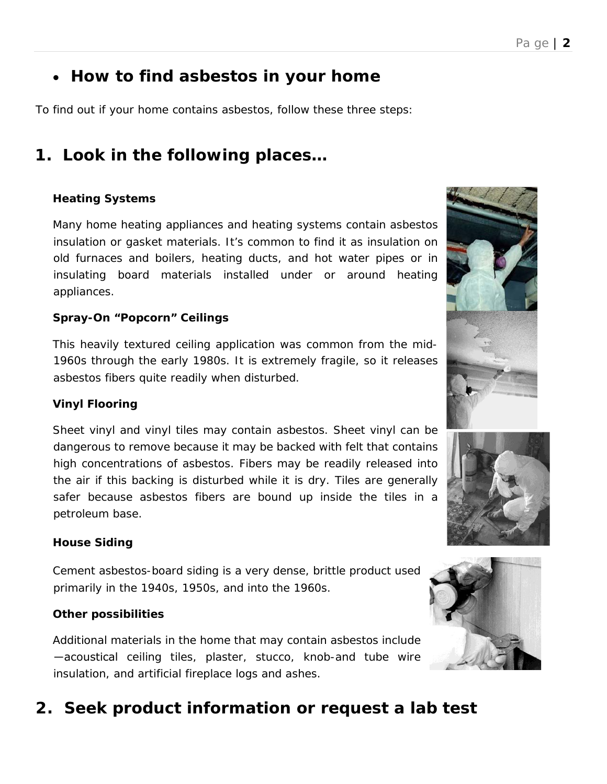### • **How to find asbestos in your home**

To find out if your home contains asbestos, follow these three steps:

### **1. Look in the following places…**

#### **Heating Systems**

Many home heating appliances and heating systems contain asbestos insulation or gasket materials. It's common to find it as insulation on old furnaces and boilers, heating ducts, and hot water pipes or in insulating board materials installed under or around heating appliances.

#### **Spray-On "Popcorn" Ceilings**

This heavily textured ceiling application was common from the mid-1960s through the early 1980s. It is extremely fragile, so it releases asbestos fibers quite readily when disturbed.

#### **Vinyl Flooring**

Sheet vinyl and vinyl tiles may contain asbestos. Sheet vinyl can be dangerous to remove because it may be backed with felt that contains high concentrations of asbestos. Fibers may be readily released into the air if this backing is disturbed while it is dry. Tiles are generally safer because asbestos fibers are bound up inside the tiles in a petroleum base.

#### **House Siding**

Cement asbestos-board siding is a very dense, brittle product used primarily in the 1940s, 1950s, and into the 1960s.

#### **Other possibilities**

Additional materials in the home that may contain asbestos include ―acoustical ceiling tiles, plaster, stucco, knob-and tube wire insulation, and artificial fireplace logs and ashes.

### **2. Seek product information or request a lab test**





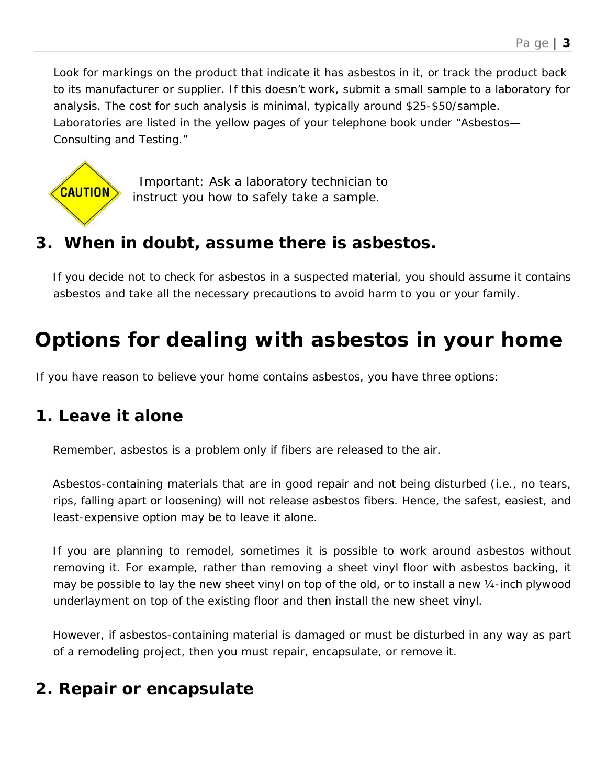Look for markings on the product that indicate it has asbestos in it, or track the product back to its manufacturer or supplier. If this doesn't work, submit a small sample to a laboratory for analysis. The cost for such analysis is minimal, typically around \$25-\$50/sample. Laboratories are listed in the yellow pages of your telephone book under "Asbestos— Consulting and Testing."



*Important: Ask a laboratory technician to instruct you how to safely take a sample.* 

### **3. When in doubt, assume there is asbestos.**

If you decide not to check for asbestos in a suspected material, you should assume it contains asbestos and take all the necessary precautions to avoid harm to you or your family.

# **Options for dealing with asbestos in your home**

If you have reason to believe your home contains asbestos, you have three options:

### **1. Leave it alone**

Remember, asbestos is a problem only if fibers are released to the air.

Asbestos-containing materials that are in good repair and not being disturbed (i.e., no tears, rips, falling apart or loosening) will not release asbestos fibers. Hence, the safest, easiest, and least-expensive option may be to leave it alone.

If you are planning to remodel, sometimes it is possible to work around asbestos without removing it. For example, rather than removing a sheet vinyl floor with asbestos backing, it may be possible to lay the new sheet vinyl on top of the old, or to install a new ¼-inch plywood underlayment on top of the existing floor and then install the new sheet vinyl.

However, if asbestos-containing material is damaged or must be disturbed *in any way* as part of a remodeling project, then you must repair, encapsulate, or remove it.

### **2. Repair or encapsulate**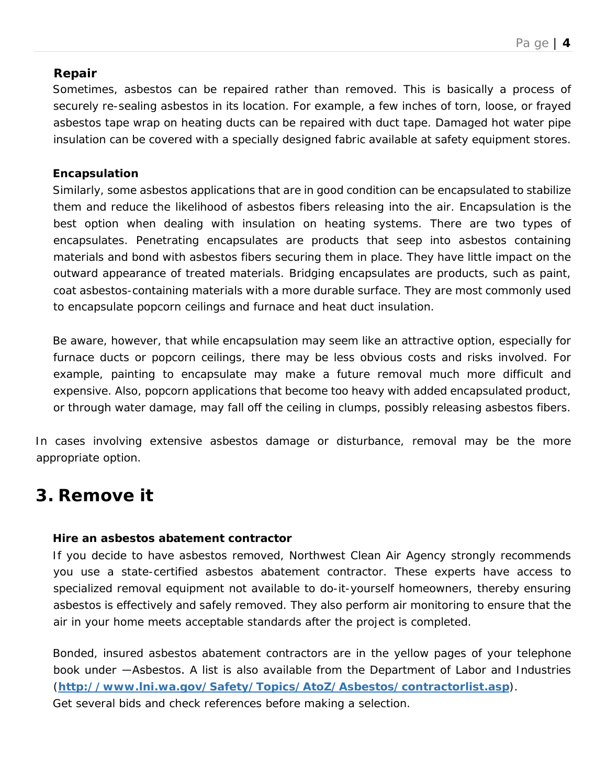#### **Repair**

Sometimes, asbestos can be repaired rather than removed. This is basically a process of securely re-sealing asbestos in its location. For example, a few inches of torn, loose, or frayed asbestos tape wrap on heating ducts can be repaired with duct tape. Damaged hot water pipe insulation can be covered with a specially designed fabric available at safety equipment stores.

#### **Encapsulation**

Similarly, some asbestos applications that are in good condition can be encapsulated to stabilize them and reduce the likelihood of asbestos fibers releasing into the air. Encapsulation is the best option when dealing with insulation on heating systems. There are two types of encapsulates. *Penetrating encapsulates* are products that seep into asbestos containing materials and bond with asbestos fibers securing them in place. They have little impact on the outward appearance of treated materials. *Bridging encapsulates* are products, such as paint, coat asbestos-containing materials with a more durable surface. They are most commonly used to encapsulate popcorn ceilings and furnace and heat duct insulation.

Be aware, however, that while encapsulation may seem like an attractive option, especially for furnace ducts or popcorn ceilings, there may be less obvious costs and risks involved. For example, painting to encapsulate may make a future removal much more difficult and expensive. Also, popcorn applications that become too heavy with added encapsulated product, or through water damage, may fall off the ceiling in clumps, possibly releasing asbestos fibers.

In cases involving extensive asbestos damage or disturbance, removal may be the more appropriate option.

### **3. Remove it**

#### **Hire an asbestos abatement contractor**

If you decide to have asbestos removed, Northwest Clean Air Agency *strongly recommends* you use a state-certified asbestos abatement contractor. These experts have access to specialized removal equipment not available to do-it-yourself homeowners, thereby ensuring asbestos is effectively *and safely* removed. They also perform air monitoring to ensure that the air in your home meets acceptable standards after the project is completed.

Bonded, insured asbestos abatement contractors are in the yellow pages of your telephone book under ―Asbestos. A list is also available from the Department of Labor and Industries (**http://www.lni.wa.gov/Safety/Topics/AtoZ/Asbestos/contractorlist.asp**).

Get several bids and check references before making a selection.